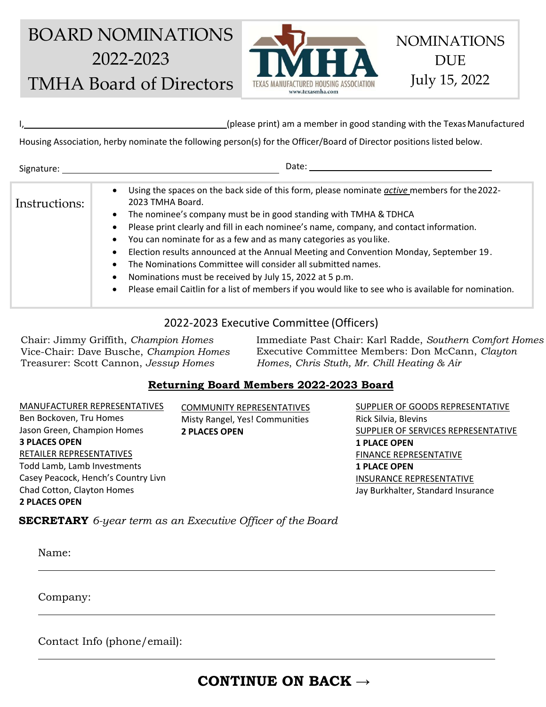# BOARD NOMINATIONS 2022-2023 TMHA Board of Directors



I, (please print) am a member in good standing with the TexasManufactured

Housing Association, herby nominate the following person(s) for the Officer/Board of Director positions listed below.

| Signature:    | Date:                                                                                                                                                                                                                                                                                                                                                                                                                                                                                                                                                                                                                                                                                         |
|---------------|-----------------------------------------------------------------------------------------------------------------------------------------------------------------------------------------------------------------------------------------------------------------------------------------------------------------------------------------------------------------------------------------------------------------------------------------------------------------------------------------------------------------------------------------------------------------------------------------------------------------------------------------------------------------------------------------------|
| Instructions: | Using the spaces on the back side of this form, please nominate active members for the 2022-<br>2023 TMHA Board.<br>The nominee's company must be in good standing with TMHA & TDHCA<br>$\bullet$<br>Please print clearly and fill in each nominee's name, company, and contact information.<br>You can nominate for as a few and as many categories as you like.<br>Election results announced at the Annual Meeting and Convention Monday, September 19.<br>The Nominations Committee will consider all submitted names.<br>Nominations must be received by July 15, 2022 at 5 p.m.<br>Please email Caitlin for a list of members if you would like to see who is available for nomination. |

### 2022-2023 Executive Committee (Officers)

Chair: Jimmy Griffith, *Champion Homes* Vice-Chair: Dave Busche, *Champion Homes* Treasurer: Scott Cannon, *Jessup Homes*

Immediate Past Chair: Karl Radde, *Southern Comfort Homes* Executive Committee Members: Don McCann, *Clayton Homes*, *Chris Stuth, Mr. Chill Heating & Air*

#### **Returning Board Members 2022-2023 Board**

MANUFACTURER REPRESENTATIVES Ben Bockoven, Tru Homes Jason Green, Champion Homes **3 PLACES OPEN** RETAILER REPRESENTATIVES Todd Lamb, Lamb Investments Casey Peacock, Hench's Country Livn Chad Cotton, Clayton Homes **2 PLACES OPEN**

COMMUNITY REPRESENTATIVES Misty Rangel, Yes! Communities **2 PLACES OPEN**

SUPPLIER OF GOODS REPRESENTATIVE Rick Silvia, Blevins SUPPLIER OF SERVICES REPRESENTATIVE **1 PLACE OPEN** FINANCE REPRESENTATIVE **1 PLACE OPEN** INSURANCE REPRESENTATIVE Jay Burkhalter, Standard Insurance

NOMINATIONS

**DUE** 

July 15, 2022

**SECRETARY** *6-year term as an Executive Officer of the Board*

Name:

Company:

Contact Info (phone/email):

# **CONTINUE ON BACK →**